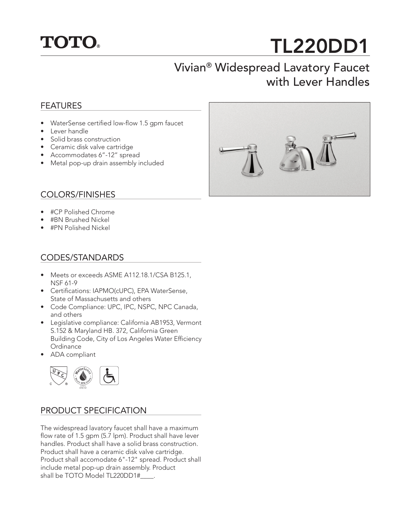

# TL220DD1

## Vivian® Widespread Lavatory Faucet with Lever Handles

#### FEATURES

- WaterSense certified low-flow 1.5 gpm faucet
- Lever handle
- Solid brass construction
- Ceramic disk valve cartridge
- Accommodates 6"-12" spread
- Metal pop-up drain assembly included

#### COLORS/FINISHES

- #CP Polished Chrome
- #BN Brushed Nickel
- #PN Polished Nickel

#### CODES/STANDARDS

- Meets or exceeds ASME A112.18.1/CSA B125.1, NSF 61-9
- Certifications: IAPMO(cUPC), EPA WaterSense, State of Massachusetts and others
- Code Compliance: UPC, IPC, NSPC, NPC Canada, and others
- Legislative compliance: California AB1953, Vermont S.152 & Maryland HB. 372, California Green Building Code, City of Los Angeles Water Efficiency **Ordinance**
- ADA compliant



#### PRODUCT SPECIFICATION

The widespread lavatory faucet shall have a maximum flow rate of 1.5 gpm (5.7 lpm). Product shall have lever handles. Product shall have a solid brass construction. Product shall have a ceramic disk valve cartridge. Product shall accomodate 6"-12" spread. Product shall include metal pop-up drain assembly. Product shall be TOTO Model TL220DD1#\_\_\_\_\_.